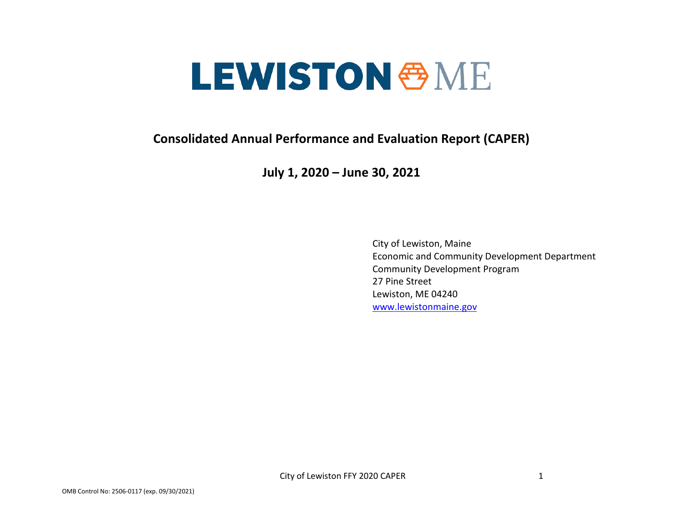# **LEWISTON & ME**

**Consolidated Annual Performance and Evaluation Report (CAPER)**

**July 1, 2020 – June 30, 2021**

City of Lewiston, Maine Economic and Community Development Department Community Development Program 27 Pine Street Lewiston, ME 04240 [www.lewistonmaine.gov](http://www.lewistonmaine.gov/)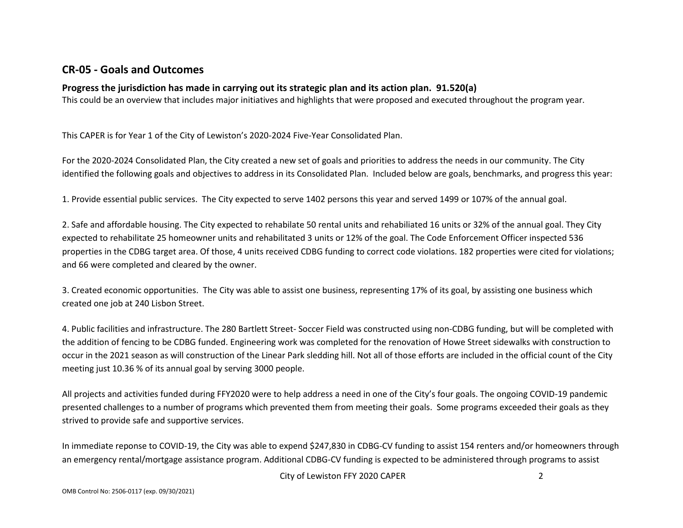## **CR-05 - Goals and Outcomes**

#### **Progress the jurisdiction has made in carrying out its strategic plan and its action plan. 91.520(a)**

This could be an overview that includes major initiatives and highlights that were proposed and executed throughout the program year.

This CAPER is for Year 1 of the City of Lewiston's 2020-2024 Five-Year Consolidated Plan.

For the 2020-2024 Consolidated Plan, the City created a new set of goals and priorities to address the needs in our community. The City identified the following goals and objectives to address in its Consolidated Plan. Included below are goals, benchmarks, and progress this year:

1. Provide essential public services. The City expected to serve 1402 persons this year and served 1499 or 107% of the annual goal.

2. Safe and affordable housing. The City expected to rehabilate 50 rental units and rehabiliated 16 units or 32% of the annual goal. They City expected to rehabilitate 25 homeowner units and rehabilitated 3 units or 12% of the goal. The Code Enforcement Officer inspected 536 properties in the CDBG target area. Of those, 4 units received CDBG funding to correct code violations. 182 properties were cited for violations; and 66 were completed and cleared by the owner.

3. Created economic opportunities. The City was able to assist one business, representing 17% of its goal, by assisting one business which created one job at 240 Lisbon Street.

4. Public facilities and infrastructure. The 280 Bartlett Street- Soccer Field was constructed using non-CDBG funding, but will be completed with the addition of fencing to be CDBG funded. Engineering work was completed for the renovation of Howe Street sidewalks with construction to occur in the 2021 season as will construction of the Linear Park sledding hill. Not all of those efforts are included in the official count of the City meeting just 10.36 % of its annual goal by serving 3000 people.

All projects and activities funded during FFY2020 were to help address a need in one of the City's four goals. The ongoing COVID-19 pandemic presented challenges to a number of programs which prevented them from meeting their goals. Some programs exceeded their goals as they strived to provide safe and supportive services.

In immediate reponse to COVID-19, the City was able to expend \$247,830 in CDBG-CV funding to assist 154 renters and/or homeowners through an emergency rental/mortgage assistance program. Additional CDBG-CV funding is expected to be administered through programs to assist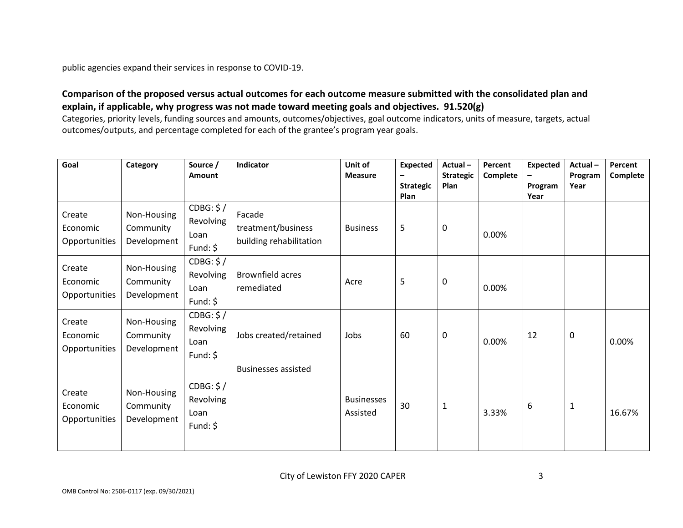public agencies expand their services in response to COVID-19.

#### **Comparison of the proposed versus actual outcomes for each outcome measure submitted with the consolidated plan and explain, if applicable, why progress was not made toward meeting goals and objectives. 91.520(g)**

Categories, priority levels, funding sources and amounts, outcomes/objectives, goal outcome indicators, units of measure, targets, actual outcomes/outputs, and percentage completed for each of the grantee's program year goals.

| Goal                                | Category                                | Source /<br>Amount                          | Indicator                                               | Unit of<br><b>Measure</b>     | <b>Expected</b><br><b>Strategic</b><br>Plan | Actual-<br><b>Strategic</b><br>Plan | Percent<br>Complete | <b>Expected</b><br>Program<br>Year | Actual-<br>Program<br>Year | Percent<br>Complete |
|-------------------------------------|-----------------------------------------|---------------------------------------------|---------------------------------------------------------|-------------------------------|---------------------------------------------|-------------------------------------|---------------------|------------------------------------|----------------------------|---------------------|
| Create<br>Economic<br>Opportunities | Non-Housing<br>Community<br>Development | CDBG: \$/<br>Revolving<br>Loan<br>Fund: $$$ | Facade<br>treatment/business<br>building rehabilitation | <b>Business</b>               | 5                                           | 0                                   | 0.00%               |                                    |                            |                     |
| Create<br>Economic<br>Opportunities | Non-Housing<br>Community<br>Development | CDBG: \$/<br>Revolving<br>Loan<br>Fund: $$$ | <b>Brownfield acres</b><br>remediated                   | Acre                          | 5                                           | 0                                   | 0.00%               |                                    |                            |                     |
| Create<br>Economic<br>Opportunities | Non-Housing<br>Community<br>Development | CDBG: \$/<br>Revolving<br>Loan<br>Fund: $$$ | Jobs created/retained                                   | Jobs                          | 60                                          | 0                                   | 0.00%               | 12                                 | 0                          | 0.00%               |
| Create<br>Economic<br>Opportunities | Non-Housing<br>Community<br>Development | CDBG: \$/<br>Revolving<br>Loan<br>Fund: $$$ | <b>Businesses assisted</b>                              | <b>Businesses</b><br>Assisted | 30                                          | $\mathbf{1}$                        | 3.33%               | 6                                  | 1                          | 16.67%              |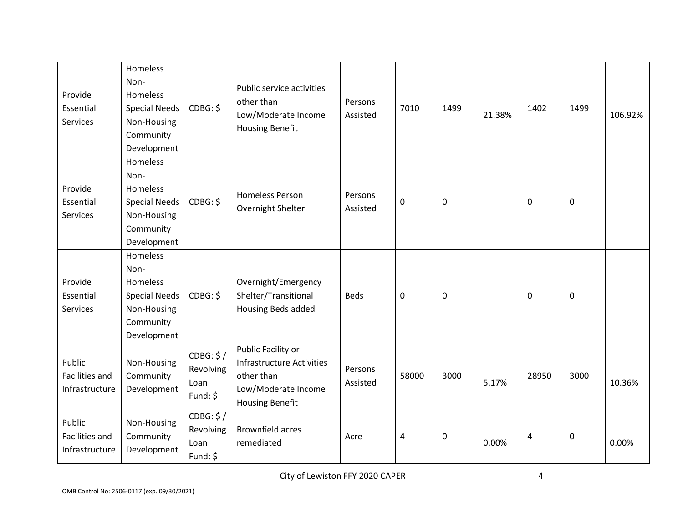| Provide<br>Essential<br><b>Services</b>           | Homeless<br>Non-<br><b>Homeless</b><br><b>Special Needs</b><br>Non-Housing<br>Community<br>Development | CDBG: \$                                   | Public service activities<br>other than<br>Low/Moderate Income<br><b>Housing Benefit</b>                       | Persons<br>Assisted | 7010        | 1499 | 21.38% | 1402        | 1499        | 106.92% |
|---------------------------------------------------|--------------------------------------------------------------------------------------------------------|--------------------------------------------|----------------------------------------------------------------------------------------------------------------|---------------------|-------------|------|--------|-------------|-------------|---------|
| Provide<br>Essential<br><b>Services</b>           | Homeless<br>Non-<br>Homeless<br><b>Special Needs</b><br>Non-Housing<br>Community<br>Development        | CDBG: \$                                   | <b>Homeless Person</b><br>Overnight Shelter                                                                    | Persons<br>Assisted | $\mathbf 0$ | 0    |        | 0           | $\mathbf 0$ |         |
| Provide<br>Essential<br>Services                  | Homeless<br>Non-<br>Homeless<br><b>Special Needs</b><br>Non-Housing<br>Community<br>Development        | CDBG: \$                                   | Overnight/Emergency<br>Shelter/Transitional<br>Housing Beds added                                              | <b>Beds</b>         | $\mathbf 0$ | 0    |        | $\mathbf 0$ | $\pmb{0}$   |         |
| Public<br><b>Facilities and</b><br>Infrastructure | Non-Housing<br>Community<br>Development                                                                | CDBG: \$/<br>Revolving<br>Loan<br>Fund: \$ | Public Facility or<br>Infrastructure Activities<br>other than<br>Low/Moderate Income<br><b>Housing Benefit</b> | Persons<br>Assisted | 58000       | 3000 | 5.17%  | 28950       | 3000        | 10.36%  |
| Public<br><b>Facilities and</b><br>Infrastructure | Non-Housing<br>Community<br>Development                                                                | CDBG: \$/<br>Revolving<br>Loan<br>Fund: \$ | <b>Brownfield acres</b><br>remediated                                                                          | Acre                | 4           | 0    | 0.00%  | 4           | $\pmb{0}$   | 0.00%   |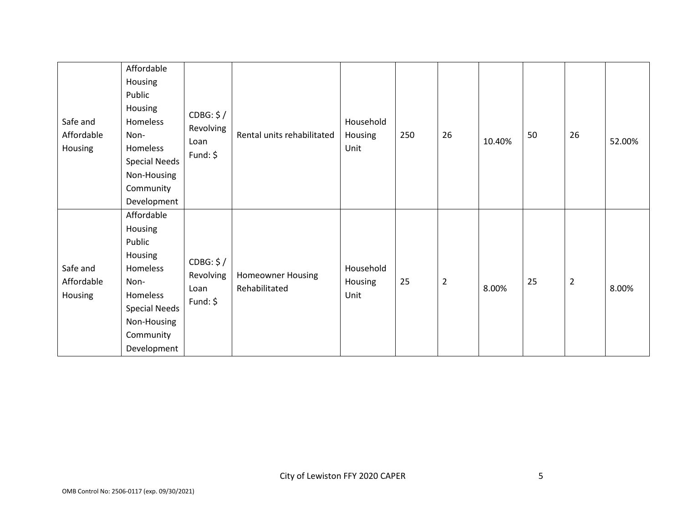| Safe and<br>Affordable<br>Housing | Affordable<br>Housing<br>Public<br>Housing<br>Homeless<br>Non-<br>Homeless<br><b>Special Needs</b><br>Non-Housing<br>Community<br>Development | CDBG: \$/<br>Revolving<br>Loan<br>Fund: \$ | Rental units rehabilitated                | Household<br>Housing<br>Unit | 250 | 26             | 10.40% | 50 | 26             | 52.00% |
|-----------------------------------|-----------------------------------------------------------------------------------------------------------------------------------------------|--------------------------------------------|-------------------------------------------|------------------------------|-----|----------------|--------|----|----------------|--------|
| Safe and<br>Affordable<br>Housing | Affordable<br>Housing<br>Public<br>Housing<br>Homeless<br>Non-<br>Homeless<br><b>Special Needs</b><br>Non-Housing<br>Community<br>Development | CDBG: \$/<br>Revolving<br>Loan<br>Fund: \$ | <b>Homeowner Housing</b><br>Rehabilitated | Household<br>Housing<br>Unit | 25  | $\overline{2}$ | 8.00%  | 25 | $\overline{2}$ | 8.00%  |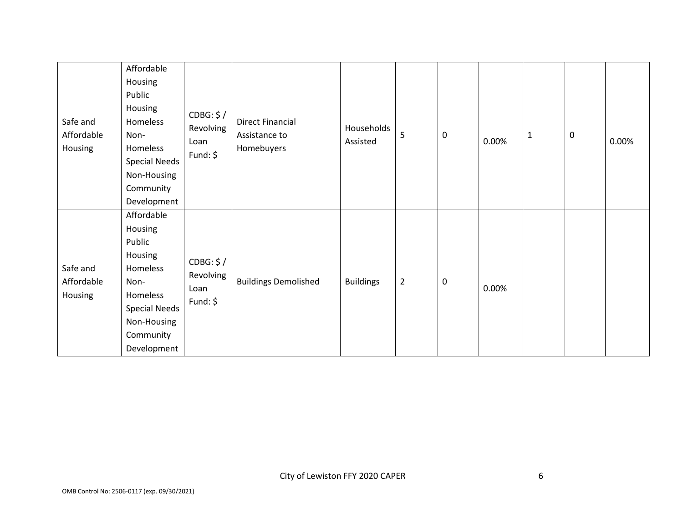| Safe and<br>Affordable<br>Housing | Affordable<br>Housing<br>Public<br>Housing<br>Homeless<br>Non-<br>Homeless<br><b>Special Needs</b><br>Non-Housing<br>Community<br>Development | CDBG: \$/<br>Revolving<br>Loan<br>Fund: $$$ | <b>Direct Financial</b><br>Assistance to<br>Homebuyers | Households<br>Assisted | 5              | 0 | 0.00% | $1\,$ | 0 | 0.00% |
|-----------------------------------|-----------------------------------------------------------------------------------------------------------------------------------------------|---------------------------------------------|--------------------------------------------------------|------------------------|----------------|---|-------|-------|---|-------|
| Safe and<br>Affordable<br>Housing | Affordable<br>Housing<br>Public<br>Housing<br>Homeless<br>Non-<br>Homeless<br><b>Special Needs</b><br>Non-Housing<br>Community<br>Development | CDBG: \$/<br>Revolving<br>Loan<br>Fund: $$$ | <b>Buildings Demolished</b>                            | <b>Buildings</b>       | $\overline{2}$ | 0 | 0.00% |       |   |       |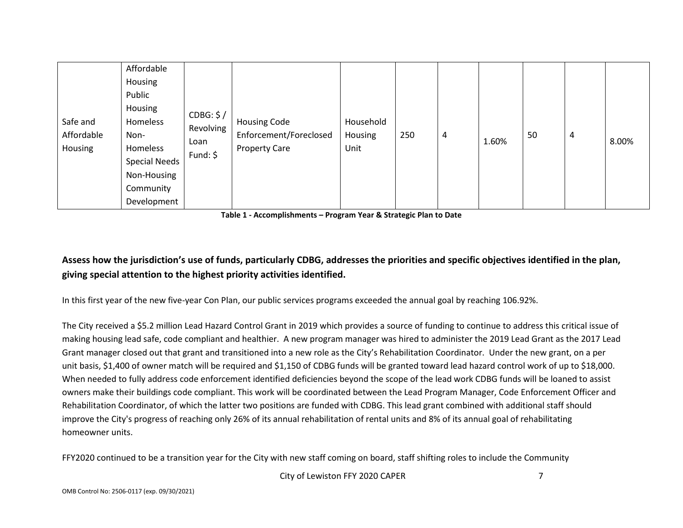| Public<br>Housing<br>CDBG: \$/<br>Household<br>Safe and<br><b>Housing Code</b><br>Homeless<br>Revolving<br>Enforcement/Foreclosed<br>Affordable<br>250<br>Housing<br>50<br>Non-<br>4<br>1.60%<br>Loan<br>Unit<br>Housing<br><b>Property Care</b><br>Homeless<br>Fund: $\oint$<br><b>Special Needs</b><br>Non-Housing<br>Community<br>Development |  |  |  |  |  |  |  |  | 4 | 8.00% |
|--------------------------------------------------------------------------------------------------------------------------------------------------------------------------------------------------------------------------------------------------------------------------------------------------------------------------------------------------|--|--|--|--|--|--|--|--|---|-------|
|--------------------------------------------------------------------------------------------------------------------------------------------------------------------------------------------------------------------------------------------------------------------------------------------------------------------------------------------------|--|--|--|--|--|--|--|--|---|-------|

**Table 1 - Accomplishments – Program Year & Strategic Plan to Date**

# **Assess how the jurisdiction's use of funds, particularly CDBG, addresses the priorities and specific objectives identified in the plan, giving special attention to the highest priority activities identified.**

In this first year of the new five-year Con Plan, our public services programs exceeded the annual goal by reaching 106.92%.

The City received a \$5.2 million Lead Hazard Control Grant in 2019 which provides a source of funding to continue to address this critical issue of making housing lead safe, code compliant and healthier. A new program manager was hired to administer the 2019 Lead Grant as the 2017 Lead Grant manager closed out that grant and transitioned into a new role as the City's Rehabilitation Coordinator. Under the new grant, on a per unit basis, \$1,400 of owner match will be required and \$1,150 of CDBG funds will be granted toward lead hazard control work of up to \$18,000. When needed to fully address code enforcement identified deficiencies beyond the scope of the lead work CDBG funds will be loaned to assist owners make their buildings code compliant. This work will be coordinated between the Lead Program Manager, Code Enforcement Officer and Rehabilitation Coordinator, of which the latter two positions are funded with CDBG. This lead grant combined with additional staff should improve the City's progress of reaching only 26% of its annual rehabilitation of rental units and 8% of its annual goal of rehabilitating homeowner units.

FFY2020 continued to be a transition year for the City with new staff coming on board, staff shifting roles to include the Community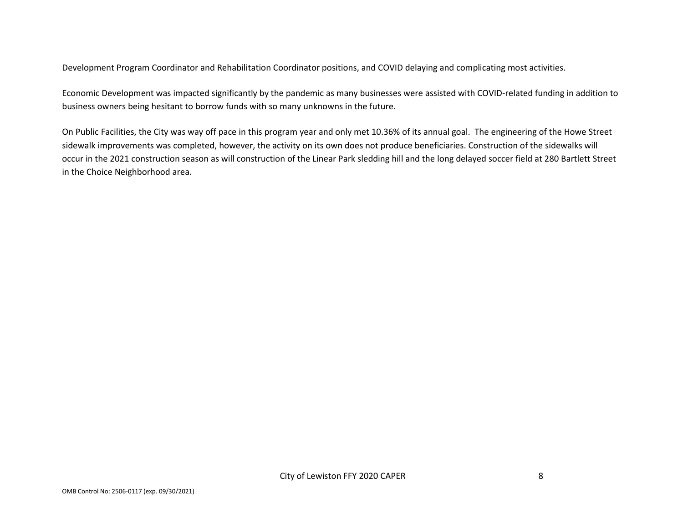Development Program Coordinator and Rehabilitation Coordinator positions, and COVID delaying and complicating most activities.

Economic Development was impacted significantly by the pandemic as many businesses were assisted with COVID-related funding in addition to business owners being hesitant to borrow funds with so many unknowns in the future.

On Public Facilities, the City was way off pace in this program year and only met 10.36% of its annual goal. The engineering of the Howe Street sidewalk improvements was completed, however, the activity on its own does not produce beneficiaries. Construction of the sidewalks will occur in the 2021 construction season as will construction of the Linear Park sledding hill and the long delayed soccer field at 280 Bartlett Street in the Choice Neighborhood area.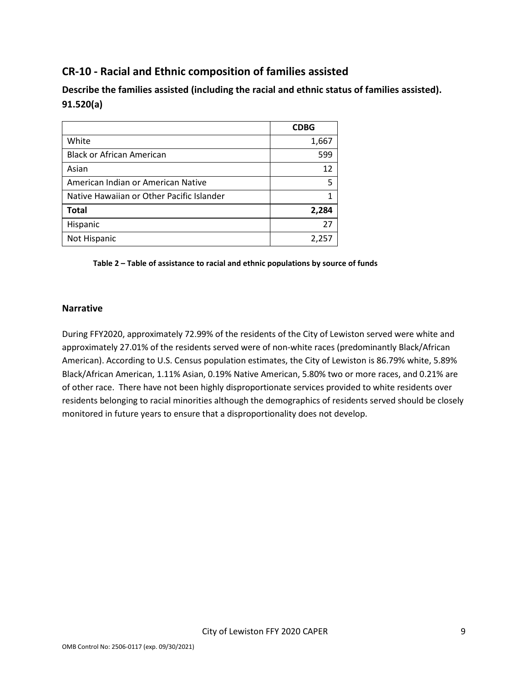# **CR-10 - Racial and Ethnic composition of families assisted**

**Describe the families assisted (including the racial and ethnic status of families assisted). 91.520(a)** 

|                                           | <b>CDBG</b> |
|-------------------------------------------|-------------|
| White                                     | 1,667       |
| <b>Black or African American</b>          | 599         |
| Asian                                     | 12          |
| American Indian or American Native        | 5           |
| Native Hawaiian or Other Pacific Islander |             |
| <b>Total</b>                              | 2,284       |
| Hispanic                                  | 27          |
| Not Hispanic                              | 2,257       |

#### **Table 2 – Table of assistance to racial and ethnic populations by source of funds**

#### **Narrative**

During FFY2020, approximately 72.99% of the residents of the City of Lewiston served were white and approximately 27.01% of the residents served were of non-white races (predominantly Black/African American). According to U.S. Census population estimates, the City of Lewiston is 86.79% white, 5.89% Black/African American, 1.11% Asian, 0.19% Native American, 5.80% two or more races, and 0.21% are of other race. There have not been highly disproportionate services provided to white residents over residents belonging to racial minorities although the demographics of residents served should be closely monitored in future years to ensure that a disproportionality does not develop.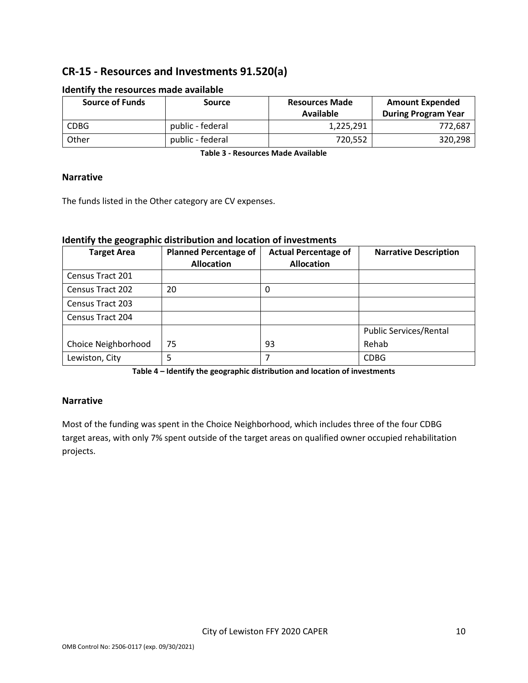# **CR-15 - Resources and Investments 91.520(a)**

| <b>Source of Funds</b> | Source           | <b>Resources Made</b><br>Available | <b>Amount Expended</b><br><b>During Program Year</b> |
|------------------------|------------------|------------------------------------|------------------------------------------------------|
| <b>CDBG</b>            | public - federal | 1,225,291                          | 772,687                                              |
| Other                  | public - federal | 720,552                            | 320,298                                              |

#### **Identify the resources made available**

**Table 3 - Resources Made Available**

#### **Narrative**

The funds listed in the Other category are CV expenses.

#### **Identify the geographic distribution and location of investments**

| <b>Target Area</b>      | <b>Planned Percentage of</b><br><b>Allocation</b> | <b>Actual Percentage of</b><br><b>Allocation</b> | <b>Narrative Description</b>  |
|-------------------------|---------------------------------------------------|--------------------------------------------------|-------------------------------|
| Census Tract 201        |                                                   |                                                  |                               |
| <b>Census Tract 202</b> | 20                                                | 0                                                |                               |
| <b>Census Tract 203</b> |                                                   |                                                  |                               |
| Census Tract 204        |                                                   |                                                  |                               |
|                         |                                                   |                                                  | <b>Public Services/Rental</b> |
| Choice Neighborhood     | 75                                                | 93                                               | Rehab                         |
| Lewiston, City          | 5                                                 |                                                  | <b>CDBG</b>                   |

**Table 4 – Identify the geographic distribution and location of investments**

#### **Narrative**

Most of the funding was spent in the Choice Neighborhood, which includes three of the four CDBG target areas, with only 7% spent outside of the target areas on qualified owner occupied rehabilitation projects.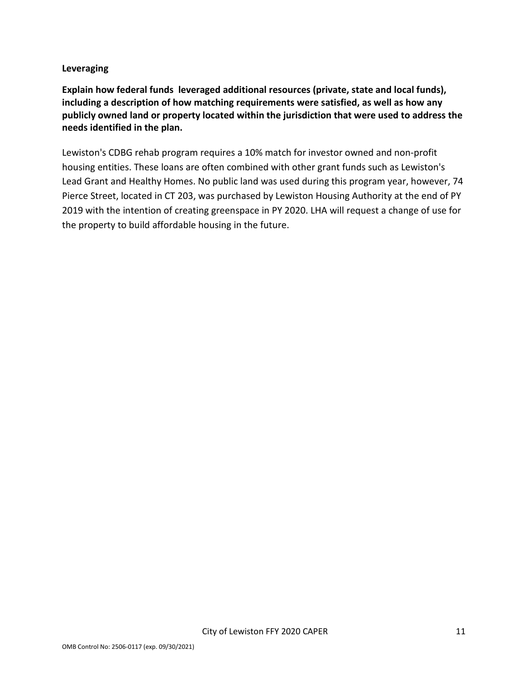#### **Leveraging**

**Explain how federal funds leveraged additional resources (private, state and local funds), including a description of how matching requirements were satisfied, as well as how any publicly owned land or property located within the jurisdiction that were used to address the needs identified in the plan.**

Lewiston's CDBG rehab program requires a 10% match for investor owned and non-profit housing entities. These loans are often combined with other grant funds such as Lewiston's Lead Grant and Healthy Homes. No public land was used during this program year, however, 74 Pierce Street, located in CT 203, was purchased by Lewiston Housing Authority at the end of PY 2019 with the intention of creating greenspace in PY 2020. LHA will request a change of use for the property to build affordable housing in the future.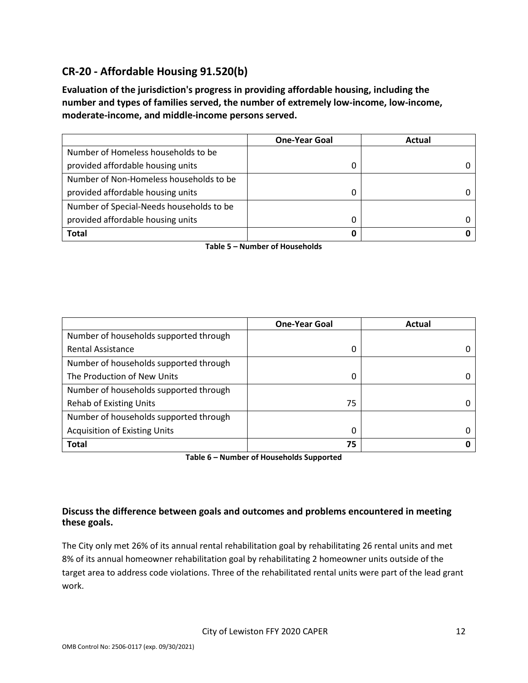# **CR-20 - Affordable Housing 91.520(b)**

**Evaluation of the jurisdiction's progress in providing affordable housing, including the number and types of families served, the number of extremely low-income, low-income, moderate-income, and middle-income persons served.**

|                                          | <b>One-Year Goal</b> | Actual |
|------------------------------------------|----------------------|--------|
| Number of Homeless households to be      |                      |        |
| provided affordable housing units        |                      |        |
| Number of Non-Homeless households to be  |                      |        |
| provided affordable housing units        | 0                    |        |
| Number of Special-Needs households to be |                      |        |
| provided affordable housing units        |                      |        |
| <b>Total</b>                             | 0                    |        |

**Table 5 – Number of Households**

|                                        | <b>One-Year Goal</b> | Actual |
|----------------------------------------|----------------------|--------|
| Number of households supported through |                      |        |
| <b>Rental Assistance</b>               | 0                    |        |
| Number of households supported through |                      |        |
| The Production of New Units            | 0                    |        |
| Number of households supported through |                      |        |
| <b>Rehab of Existing Units</b>         | 75                   |        |
| Number of households supported through |                      |        |
| <b>Acquisition of Existing Units</b>   | 0                    |        |
| <b>Total</b>                           | 75                   |        |

**Table 6 – Number of Households Supported**

#### **Discuss the difference between goals and outcomes and problems encountered in meeting these goals.**

The City only met 26% of its annual rental rehabilitation goal by rehabilitating 26 rental units and met 8% of its annual homeowner rehabilitation goal by rehabilitating 2 homeowner units outside of the target area to address code violations. Three of the rehabilitated rental units were part of the lead grant work.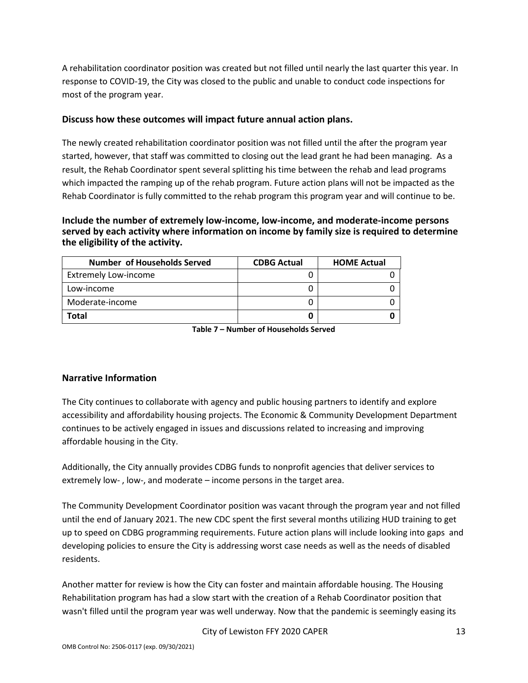A rehabilitation coordinator position was created but not filled until nearly the last quarter this year. In response to COVID-19, the City was closed to the public and unable to conduct code inspections for most of the program year.

#### **Discuss how these outcomes will impact future annual action plans.**

The newly created rehabilitation coordinator position was not filled until the after the program year started, however, that staff was committed to closing out the lead grant he had been managing. As a result, the Rehab Coordinator spent several splitting his time between the rehab and lead programs which impacted the ramping up of the rehab program. Future action plans will not be impacted as the Rehab Coordinator is fully committed to the rehab program this program year and will continue to be.

**Include the number of extremely low-income, low-income, and moderate-income persons served by each activity where information on income by family size is required to determine the eligibility of the activity.**

| Number of Households Served | <b>CDBG Actual</b> | <b>HOME Actual</b> |
|-----------------------------|--------------------|--------------------|
| <b>Extremely Low-income</b> |                    |                    |
| Low-income                  |                    |                    |
| Moderate-income             |                    |                    |
| Total                       |                    |                    |

**Table 7 – Number of Households Served**

#### **Narrative Information**

The City continues to collaborate with agency and public housing partners to identify and explore accessibility and affordability housing projects. The Economic & Community Development Department continues to be actively engaged in issues and discussions related to increasing and improving affordable housing in the City.

Additionally, the City annually provides CDBG funds to nonprofit agencies that deliver services to extremely low- , low-, and moderate – income persons in the target area.

The Community Development Coordinator position was vacant through the program year and not filled until the end of January 2021. The new CDC spent the first several months utilizing HUD training to get up to speed on CDBG programming requirements. Future action plans will include looking into gaps and developing policies to ensure the City is addressing worst case needs as well as the needs of disabled residents.

Another matter for review is how the City can foster and maintain affordable housing. The Housing Rehabilitation program has had a slow start with the creation of a Rehab Coordinator position that wasn't filled until the program year was well underway. Now that the pandemic is seemingly easing its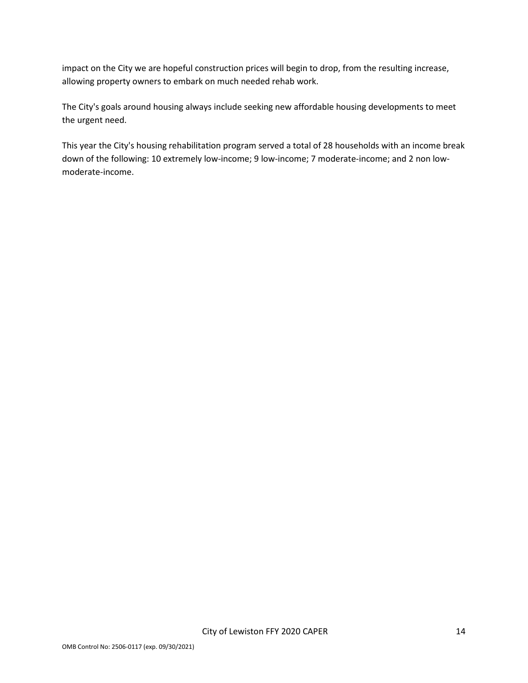impact on the City we are hopeful construction prices will begin to drop, from the resulting increase, allowing property owners to embark on much needed rehab work.

The City's goals around housing always include seeking new affordable housing developments to meet the urgent need.

This year the City's housing rehabilitation program served a total of 28 households with an income break down of the following: 10 extremely low-income; 9 low-income; 7 moderate-income; and 2 non lowmoderate-income.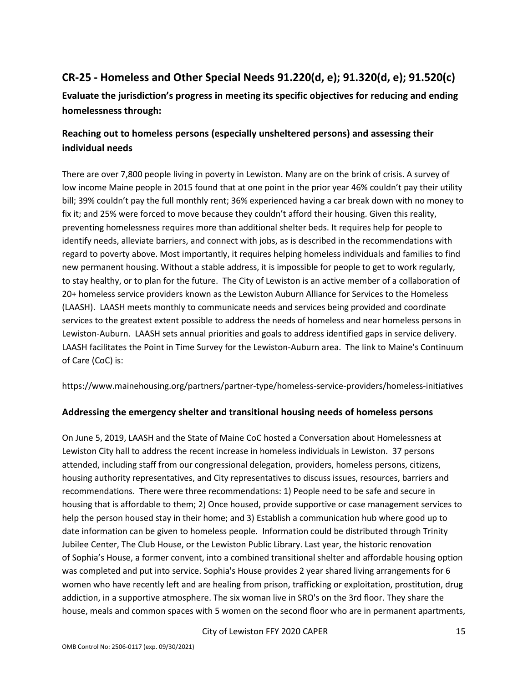# **CR-25 - Homeless and Other Special Needs 91.220(d, e); 91.320(d, e); 91.520(c)**

**Evaluate the jurisdiction's progress in meeting its specific objectives for reducing and ending homelessness through:**

# **Reaching out to homeless persons (especially unsheltered persons) and assessing their individual needs**

There are over 7,800 people living in poverty in Lewiston. Many are on the brink of crisis. A survey of low income Maine people in 2015 found that at one point in the prior year 46% couldn't pay their utility bill; 39% couldn't pay the full monthly rent; 36% experienced having a car break down with no money to fix it; and 25% were forced to move because they couldn't afford their housing. Given this reality, preventing homelessness requires more than additional shelter beds. It requires help for people to identify needs, alleviate barriers, and connect with jobs, as is described in the recommendations with regard to poverty above. Most importantly, it requires helping homeless individuals and families to find new permanent housing. Without a stable address, it is impossible for people to get to work regularly, to stay healthy, or to plan for the future. The City of Lewiston is an active member of a collaboration of 20+ homeless service providers known as the Lewiston Auburn Alliance for Services to the Homeless (LAASH). LAASH meets monthly to communicate needs and services being provided and coordinate services to the greatest extent possible to address the needs of homeless and near homeless persons in Lewiston-Auburn. LAASH sets annual priorities and goals to address identified gaps in service delivery. LAASH facilitates the Point in Time Survey for the Lewiston-Auburn area. The link to Maine's Continuum of Care (CoC) is:

https://www.mainehousing.org/partners/partner-type/homeless-service-providers/homeless-initiatives

#### **Addressing the emergency shelter and transitional housing needs of homeless persons**

On June 5, 2019, LAASH and the State of Maine CoC hosted a Conversation about Homelessness at Lewiston City hall to address the recent increase in homeless individuals in Lewiston. 37 persons attended, including staff from our congressional delegation, providers, homeless persons, citizens, housing authority representatives, and City representatives to discuss issues, resources, barriers and recommendations. There were three recommendations: 1) People need to be safe and secure in housing that is affordable to them; 2) Once housed, provide supportive or case management services to help the person housed stay in their home; and 3) Establish a communication hub where good up to date information can be given to homeless people. Information could be distributed through Trinity Jubilee Center, The Club House, or the Lewiston Public Library. Last year, the historic renovation of Sophia's House, a former convent, into a combined transitional shelter and affordable housing option was completed and put into service. Sophia's House provides 2 year shared living arrangements for 6 women who have recently left and are healing from prison, trafficking or exploitation, prostitution, drug addiction, in a supportive atmosphere. The six woman live in SRO's on the 3rd floor. They share the house, meals and common spaces with 5 women on the second floor who are in permanent apartments,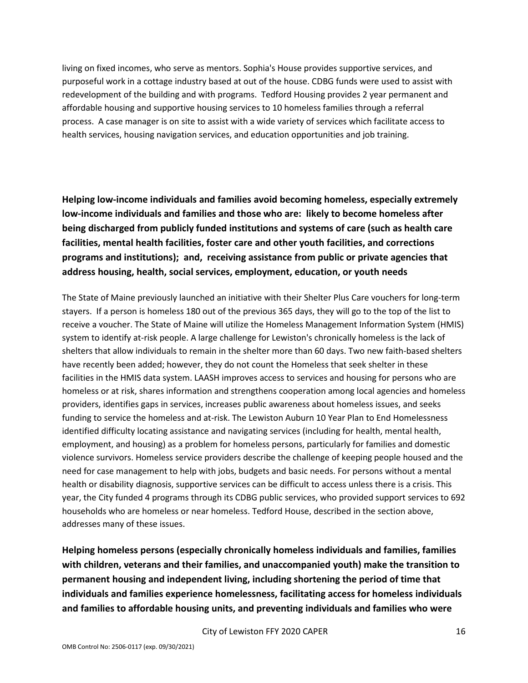living on fixed incomes, who serve as mentors. Sophia's House provides supportive services, and purposeful work in a cottage industry based at out of the house. CDBG funds were used to assist with redevelopment of the building and with programs. Tedford Housing provides 2 year permanent and affordable housing and supportive housing services to 10 homeless families through a referral process. A case manager is on site to assist with a wide variety of services which facilitate access to health services, housing navigation services, and education opportunities and job training.

**Helping low-income individuals and families avoid becoming homeless, especially extremely low-income individuals and families and those who are: likely to become homeless after being discharged from publicly funded institutions and systems of care (such as health care facilities, mental health facilities, foster care and other youth facilities, and corrections programs and institutions); and, receiving assistance from public or private agencies that address housing, health, social services, employment, education, or youth needs**

The State of Maine previously launched an initiative with their Shelter Plus Care vouchers for long-term stayers. If a person is homeless 180 out of the previous 365 days, they will go to the top of the list to receive a voucher. The State of Maine will utilize the Homeless Management Information System (HMIS) system to identify at-risk people. A large challenge for Lewiston's chronically homeless is the lack of shelters that allow individuals to remain in the shelter more than 60 days. Two new faith-based shelters have recently been added; however, they do not count the Homeless that seek shelter in these facilities in the HMIS data system. LAASH improves access to services and housing for persons who are homeless or at risk, shares information and strengthens cooperation among local agencies and homeless providers, identifies gaps in services, increases public awareness about homeless issues, and seeks funding to service the homeless and at-risk. The Lewiston Auburn 10 Year Plan to End Homelessness identified difficulty locating assistance and navigating services (including for health, mental health, employment, and housing) as a problem for homeless persons, particularly for families and domestic violence survivors. Homeless service providers describe the challenge of keeping people housed and the need for case management to help with jobs, budgets and basic needs. For persons without a mental health or disability diagnosis, supportive services can be difficult to access unless there is a crisis. This year, the City funded 4 programs through its CDBG public services, who provided support services to 692 households who are homeless or near homeless. Tedford House, described in the section above, addresses many of these issues.

**Helping homeless persons (especially chronically homeless individuals and families, families with children, veterans and their families, and unaccompanied youth) make the transition to permanent housing and independent living, including shortening the period of time that individuals and families experience homelessness, facilitating access for homeless individuals and families to affordable housing units, and preventing individuals and families who were**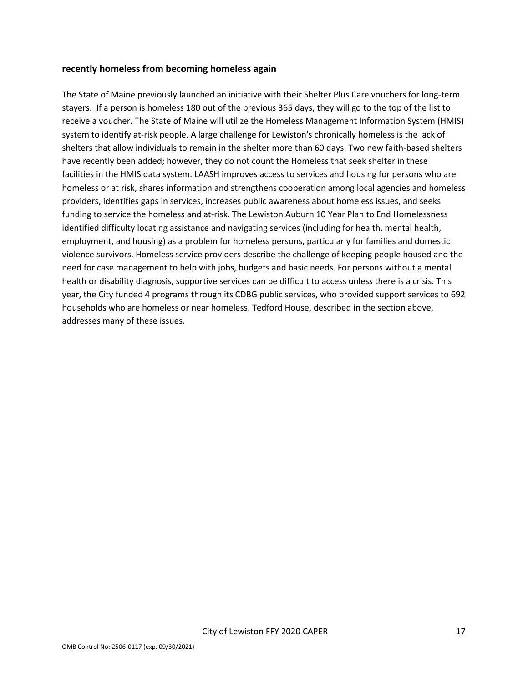#### **recently homeless from becoming homeless again**

The State of Maine previously launched an initiative with their Shelter Plus Care vouchers for long-term stayers. If a person is homeless 180 out of the previous 365 days, they will go to the top of the list to receive a voucher. The State of Maine will utilize the Homeless Management Information System (HMIS) system to identify at-risk people. A large challenge for Lewiston's chronically homeless is the lack of shelters that allow individuals to remain in the shelter more than 60 days. Two new faith-based shelters have recently been added; however, they do not count the Homeless that seek shelter in these facilities in the HMIS data system. LAASH improves access to services and housing for persons who are homeless or at risk, shares information and strengthens cooperation among local agencies and homeless providers, identifies gaps in services, increases public awareness about homeless issues, and seeks funding to service the homeless and at-risk. The Lewiston Auburn 10 Year Plan to End Homelessness identified difficulty locating assistance and navigating services (including for health, mental health, employment, and housing) as a problem for homeless persons, particularly for families and domestic violence survivors. Homeless service providers describe the challenge of keeping people housed and the need for case management to help with jobs, budgets and basic needs. For persons without a mental health or disability diagnosis, supportive services can be difficult to access unless there is a crisis. This year, the City funded 4 programs through its CDBG public services, who provided support services to 692 households who are homeless or near homeless. Tedford House, described in the section above, addresses many of these issues.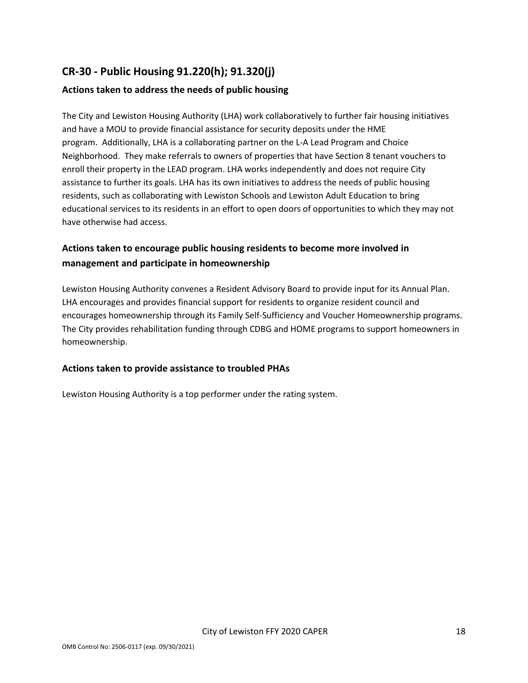# **CR-30 - Public Housing 91.220(h); 91.320(j)**

#### **Actions taken to address the needs of public housing**

The City and Lewiston Housing Authority (LHA) work collaboratively to further fair housing initiatives and have a MOU to provide financial assistance for security deposits under the HME program. Additionally, LHA is a collaborating partner on the L-A Lead Program and Choice Neighborhood. They make referrals to owners of properties that have Section 8 tenant vouchers to enroll their property in the LEAD program. LHA works independently and does not require City assistance to further its goals. LHA has its own initiatives to address the needs of public housing residents, such as collaborating with Lewiston Schools and Lewiston Adult Education to bring educational services to its residents in an effort to open doors of opportunities to which they may not have otherwise had access.

# **Actions taken to encourage public housing residents to become more involved in management and participate in homeownership**

Lewiston Housing Authority convenes a Resident Advisory Board to provide input for its Annual Plan. LHA encourages and provides financial support for residents to organize resident council and encourages homeownership through its Family Self-Sufficiency and Voucher Homeownership programs. The City provides rehabilitation funding through CDBG and HOME programs to support homeowners in homeownership.

#### **Actions taken to provide assistance to troubled PHAs**

Lewiston Housing Authority is a top performer under the rating system.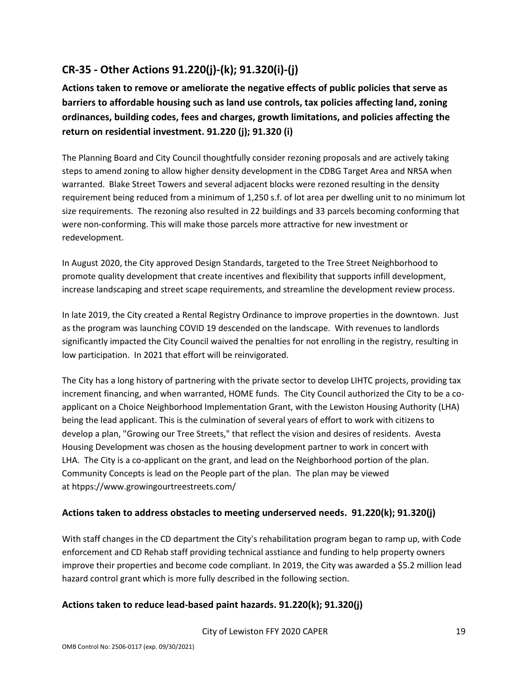# **CR-35 - Other Actions 91.220(j)-(k); 91.320(i)-(j)**

**Actions taken to remove or ameliorate the negative effects of public policies that serve as barriers to affordable housing such as land use controls, tax policies affecting land, zoning ordinances, building codes, fees and charges, growth limitations, and policies affecting the return on residential investment. 91.220 (j); 91.320 (i)**

The Planning Board and City Council thoughtfully consider rezoning proposals and are actively taking steps to amend zoning to allow higher density development in the CDBG Target Area and NRSA when warranted. Blake Street Towers and several adjacent blocks were rezoned resulting in the density requirement being reduced from a minimum of 1,250 s.f. of lot area per dwelling unit to no minimum lot size requirements. The rezoning also resulted in 22 buildings and 33 parcels becoming conforming that were non-conforming. This will make those parcels more attractive for new investment or redevelopment.

In August 2020, the City approved Design Standards, targeted to the Tree Street Neighborhood to promote quality development that create incentives and flexibility that supports infill development, increase landscaping and street scape requirements, and streamline the development review process.

In late 2019, the City created a Rental Registry Ordinance to improve properties in the downtown. Just as the program was launching COVID 19 descended on the landscape. With revenues to landlords significantly impacted the City Council waived the penalties for not enrolling in the registry, resulting in low participation. In 2021 that effort will be reinvigorated.

The City has a long history of partnering with the private sector to develop LIHTC projects, providing tax increment financing, and when warranted, HOME funds. The City Council authorized the City to be a coapplicant on a Choice Neighborhood Implementation Grant, with the Lewiston Housing Authority (LHA) being the lead applicant. This is the culmination of several years of effort to work with citizens to develop a plan, "Growing our Tree Streets," that reflect the vision and desires of residents. Avesta Housing Development was chosen as the housing development partner to work in concert with LHA. The City is a co-applicant on the grant, and lead on the Neighborhood portion of the plan. Community Concepts is lead on the People part of the plan. The plan may be viewed at htpps://www.growingourtreestreets.com/

#### **Actions taken to address obstacles to meeting underserved needs. 91.220(k); 91.320(j)**

With staff changes in the CD department the City's rehabilitation program began to ramp up, with Code enforcement and CD Rehab staff providing technical asstiance and funding to help property owners improve their properties and become code compliant. In 2019, the City was awarded a \$5.2 million lead hazard control grant which is more fully described in the following section.

#### **Actions taken to reduce lead-based paint hazards. 91.220(k); 91.320(j)**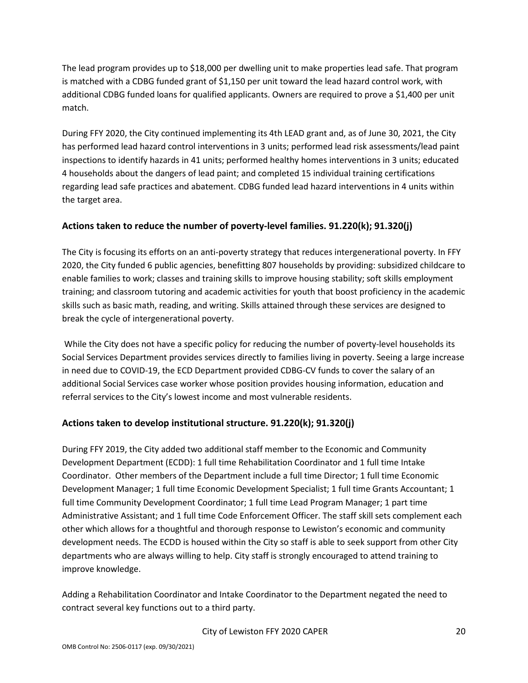The lead program provides up to \$18,000 per dwelling unit to make properties lead safe. That program is matched with a CDBG funded grant of \$1,150 per unit toward the lead hazard control work, with additional CDBG funded loans for qualified applicants. Owners are required to prove a \$1,400 per unit match.

During FFY 2020, the City continued implementing its 4th LEAD grant and, as of June 30, 2021, the City has performed lead hazard control interventions in 3 units; performed lead risk assessments/lead paint inspections to identify hazards in 41 units; performed healthy homes interventions in 3 units; educated 4 households about the dangers of lead paint; and completed 15 individual training certifications regarding lead safe practices and abatement. CDBG funded lead hazard interventions in 4 units within the target area.

#### **Actions taken to reduce the number of poverty-level families. 91.220(k); 91.320(j)**

The City is focusing its efforts on an anti-poverty strategy that reduces intergenerational poverty. In FFY 2020, the City funded 6 public agencies, benefitting 807 households by providing: subsidized childcare to enable families to work; classes and training skills to improve housing stability; soft skills employment training; and classroom tutoring and academic activities for youth that boost proficiency in the academic skills such as basic math, reading, and writing. Skills attained through these services are designed to break the cycle of intergenerational poverty.

While the City does not have a specific policy for reducing the number of poverty-level households its Social Services Department provides services directly to families living in poverty. Seeing a large increase in need due to COVID-19, the ECD Department provided CDBG-CV funds to cover the salary of an additional Social Services case worker whose position provides housing information, education and referral services to the City's lowest income and most vulnerable residents.

#### **Actions taken to develop institutional structure. 91.220(k); 91.320(j)**

During FFY 2019, the City added two additional staff member to the Economic and Community Development Department (ECDD): 1 full time Rehabilitation Coordinator and 1 full time Intake Coordinator. Other members of the Department include a full time Director; 1 full time Economic Development Manager; 1 full time Economic Development Specialist; 1 full time Grants Accountant; 1 full time Community Development Coordinator; 1 full time Lead Program Manager; 1 part time Administrative Assistant; and 1 full time Code Enforcement Officer. The staff skill sets complement each other which allows for a thoughtful and thorough response to Lewiston's economic and community development needs. The ECDD is housed within the City so staff is able to seek support from other City departments who are always willing to help. City staff is strongly encouraged to attend training to improve knowledge.

Adding a Rehabilitation Coordinator and Intake Coordinator to the Department negated the need to contract several key functions out to a third party.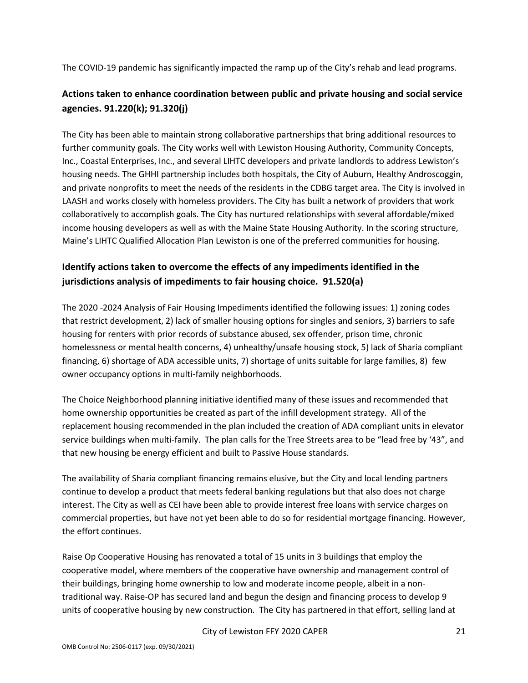The COVID-19 pandemic has significantly impacted the ramp up of the City's rehab and lead programs.

# **Actions taken to enhance coordination between public and private housing and social service agencies. 91.220(k); 91.320(j)**

The City has been able to maintain strong collaborative partnerships that bring additional resources to further community goals. The City works well with Lewiston Housing Authority, Community Concepts, Inc., Coastal Enterprises, Inc., and several LIHTC developers and private landlords to address Lewiston's housing needs. The GHHI partnership includes both hospitals, the City of Auburn, Healthy Androscoggin, and private nonprofits to meet the needs of the residents in the CDBG target area. The City is involved in LAASH and works closely with homeless providers. The City has built a network of providers that work collaboratively to accomplish goals. The City has nurtured relationships with several affordable/mixed income housing developers as well as with the Maine State Housing Authority. In the scoring structure, Maine's LIHTC Qualified Allocation Plan Lewiston is one of the preferred communities for housing.

# **Identify actions taken to overcome the effects of any impediments identified in the jurisdictions analysis of impediments to fair housing choice. 91.520(a)**

The 2020 -2024 Analysis of Fair Housing Impediments identified the following issues: 1) zoning codes that restrict development, 2) lack of smaller housing options for singles and seniors, 3) barriers to safe housing for renters with prior records of substance abused, sex offender, prison time, chronic homelessness or mental health concerns, 4) unhealthy/unsafe housing stock, 5) lack of Sharia compliant financing, 6) shortage of ADA accessible units, 7) shortage of units suitable for large families, 8) few owner occupancy options in multi-family neighborhoods.

The Choice Neighborhood planning initiative identified many of these issues and recommended that home ownership opportunities be created as part of the infill development strategy. All of the replacement housing recommended in the plan included the creation of ADA compliant units in elevator service buildings when multi-family. The plan calls for the Tree Streets area to be "lead free by '43", and that new housing be energy efficient and built to Passive House standards.

The availability of Sharia compliant financing remains elusive, but the City and local lending partners continue to develop a product that meets federal banking regulations but that also does not charge interest. The City as well as CEI have been able to provide interest free loans with service charges on commercial properties, but have not yet been able to do so for residential mortgage financing. However, the effort continues.

Raise Op Cooperative Housing has renovated a total of 15 units in 3 buildings that employ the cooperative model, where members of the cooperative have ownership and management control of their buildings, bringing home ownership to low and moderate income people, albeit in a nontraditional way. Raise-OP has secured land and begun the design and financing process to develop 9 units of cooperative housing by new construction. The City has partnered in that effort, selling land at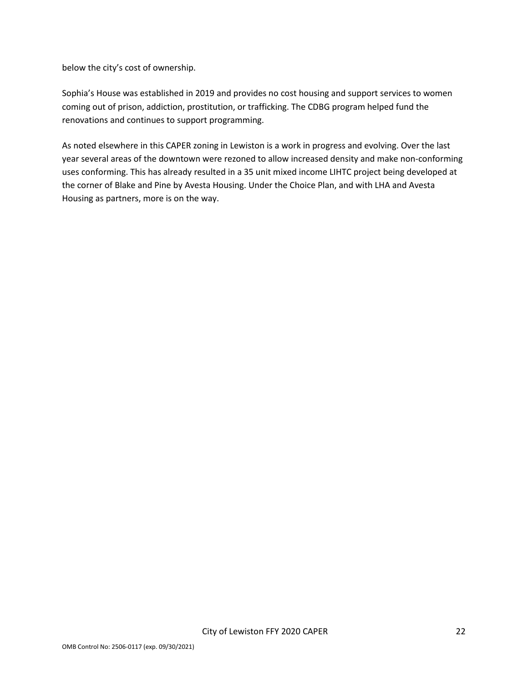below the city's cost of ownership.

Sophia's House was established in 2019 and provides no cost housing and support services to women coming out of prison, addiction, prostitution, or trafficking. The CDBG program helped fund the renovations and continues to support programming.

As noted elsewhere in this CAPER zoning in Lewiston is a work in progress and evolving. Over the last year several areas of the downtown were rezoned to allow increased density and make non-conforming uses conforming. This has already resulted in a 35 unit mixed income LIHTC project being developed at the corner of Blake and Pine by Avesta Housing. Under the Choice Plan, and with LHA and Avesta Housing as partners, more is on the way.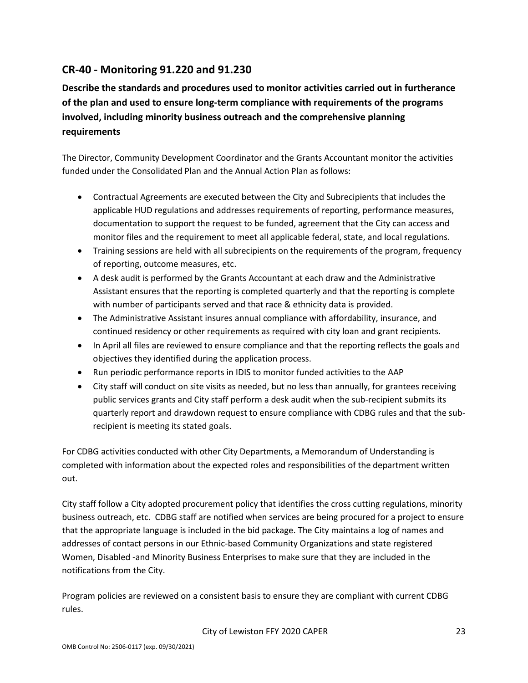# **CR-40 - Monitoring 91.220 and 91.230**

**Describe the standards and procedures used to monitor activities carried out in furtherance of the plan and used to ensure long-term compliance with requirements of the programs involved, including minority business outreach and the comprehensive planning requirements**

The Director, Community Development Coordinator and the Grants Accountant monitor the activities funded under the Consolidated Plan and the Annual Action Plan as follows:

- Contractual Agreements are executed between the City and Subrecipients that includes the applicable HUD regulations and addresses requirements of reporting, performance measures, documentation to support the request to be funded, agreement that the City can access and monitor files and the requirement to meet all applicable federal, state, and local regulations.
- Training sessions are held with all subrecipients on the requirements of the program, frequency of reporting, outcome measures, etc.
- A desk audit is performed by the Grants Accountant at each draw and the Administrative Assistant ensures that the reporting is completed quarterly and that the reporting is complete with number of participants served and that race & ethnicity data is provided.
- The Administrative Assistant insures annual compliance with affordability, insurance, and continued residency or other requirements as required with city loan and grant recipients.
- In April all files are reviewed to ensure compliance and that the reporting reflects the goals and objectives they identified during the application process.
- Run periodic performance reports in IDIS to monitor funded activities to the AAP
- City staff will conduct on site visits as needed, but no less than annually, for grantees receiving public services grants and City staff perform a desk audit when the sub-recipient submits its quarterly report and drawdown request to ensure compliance with CDBG rules and that the subrecipient is meeting its stated goals.

For CDBG activities conducted with other City Departments, a Memorandum of Understanding is completed with information about the expected roles and responsibilities of the department written out.

City staff follow a City adopted procurement policy that identifies the cross cutting regulations, minority business outreach, etc. CDBG staff are notified when services are being procured for a project to ensure that the appropriate language is included in the bid package. The City maintains a log of names and addresses of contact persons in our Ethnic-based Community Organizations and state registered Women, Disabled -and Minority Business Enterprises to make sure that they are included in the notifications from the City.

Program policies are reviewed on a consistent basis to ensure they are compliant with current CDBG rules.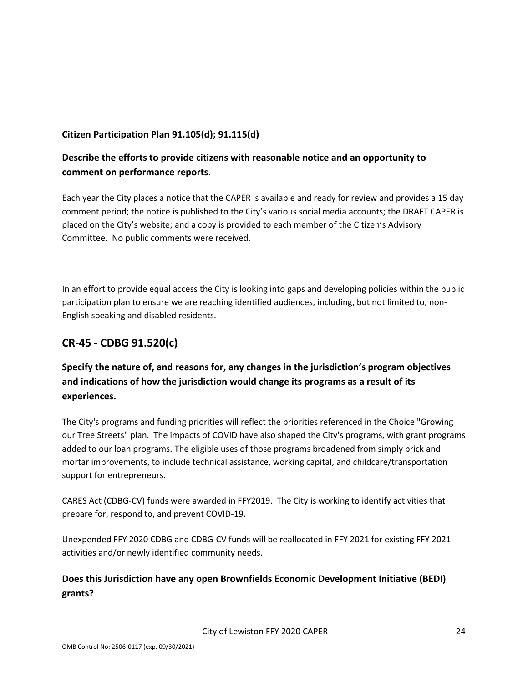#### **Citizen Participation Plan 91.105(d); 91.115(d)**

## **Describe the efforts to provide citizens with reasonable notice and an opportunity to comment on performance reports**.

Each year the City places a notice that the CAPER is available and ready for review and provides a 15 day comment period; the notice is published to the City's various social media accounts; the DRAFT CAPER is placed on the City's website; and a copy is provided to each member of the Citizen's Advisory Committee. No public comments were received.

In an effort to provide equal access the City is looking into gaps and developing policies within the public participation plan to ensure we are reaching identified audiences, including, but not limited to, non-English speaking and disabled residents.

# **CR-45 - CDBG 91.520(c)**

# **Specify the nature of, and reasons for, any changes in the jurisdiction's program objectives and indications of how the jurisdiction would change its programs as a result of its experiences.**

The City's programs and funding priorities will reflect the priorities referenced in the Choice "Growing our Tree Streets" plan. The impacts of COVID have also shaped the City's programs, with grant programs added to our loan programs. The eligible uses of those programs broadened from simply brick and mortar improvements, to include technical assistance, working capital, and childcare/transportation support for entrepreneurs.

CARES Act (CDBG-CV) funds were awarded in FFY2019. The City is working to identify activities that prepare for, respond to, and prevent COVID-19.

Unexpended FFY 2020 CDBG and CDBG-CV funds will be reallocated in FFY 2021 for existing FFY 2021 activities and/or newly identified community needs.

# **Does this Jurisdiction have any open Brownfields Economic Development Initiative (BEDI) grants?**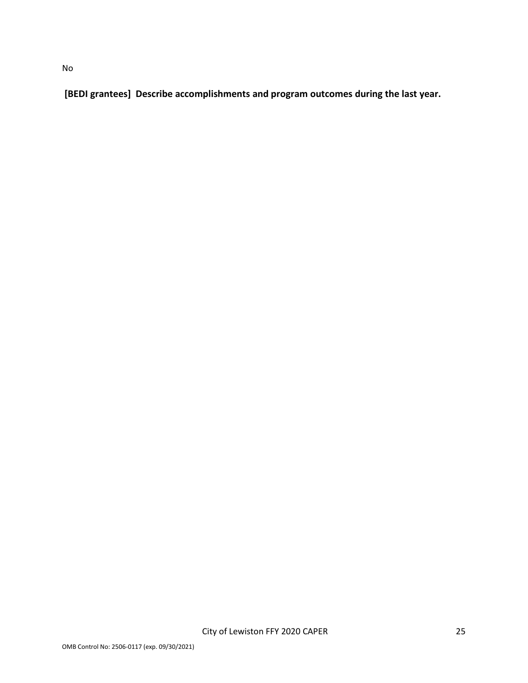**[BEDI grantees] Describe accomplishments and program outcomes during the last year.**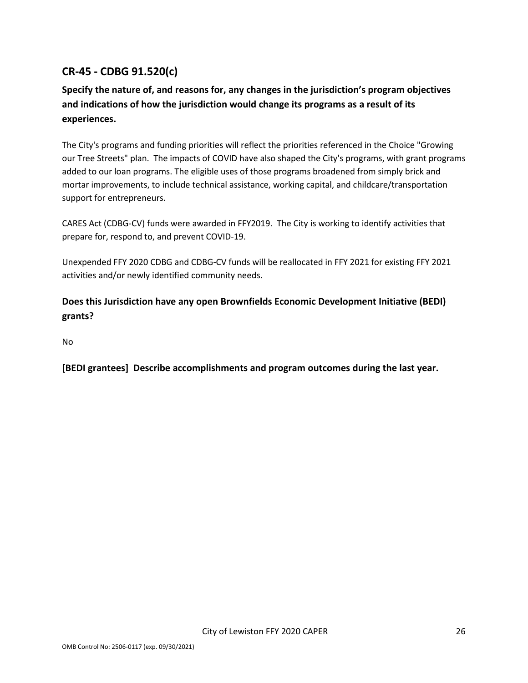# **CR-45 - CDBG 91.520(c)**

# **Specify the nature of, and reasons for, any changes in the jurisdiction's program objectives and indications of how the jurisdiction would change its programs as a result of its experiences.**

The City's programs and funding priorities will reflect the priorities referenced in the Choice "Growing our Tree Streets" plan. The impacts of COVID have also shaped the City's programs, with grant programs added to our loan programs. The eligible uses of those programs broadened from simply brick and mortar improvements, to include technical assistance, working capital, and childcare/transportation support for entrepreneurs.

CARES Act (CDBG-CV) funds were awarded in FFY2019. The City is working to identify activities that prepare for, respond to, and prevent COVID-19.

Unexpended FFY 2020 CDBG and CDBG-CV funds will be reallocated in FFY 2021 for existing FFY 2021 activities and/or newly identified community needs.

# **Does this Jurisdiction have any open Brownfields Economic Development Initiative (BEDI) grants?**

No

**[BEDI grantees] Describe accomplishments and program outcomes during the last year.**